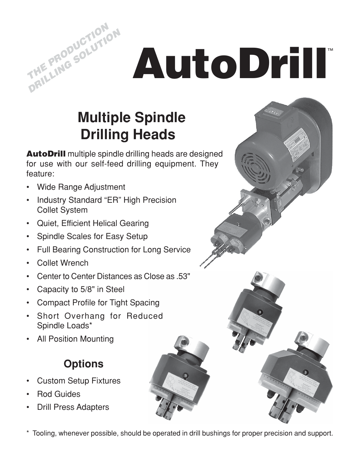# **AutoDrill**™

## **Multiple Spindle Drilling Heads**

**AutoDrill** multiple spindle drilling heads are designed for use with our self-feed drilling equipment. They feature:

• Wide Range Adjustment

**THE PRODUCTION PRILLING SOLUTION** 

- Industry Standard "ER" High Precision Collet System
- Quiet, Efficient Helical Gearing
- Spindle Scales for Easy Setup
- Full Bearing Construction for Long Service
- Collet Wrench
- Center to Center Distances as Close as .53"
- Capacity to 5/8" in Steel
- Compact Profile for Tight Spacing
- Short Overhang for Reduced Spindle Loads\*
- All Position Mounting

## **Options**

- Custom Setup Fixtures
- Rod Guides
- Drill Press Adapters
- \* Tooling, whenever possible, should be operated in drill bushings for proper precision and support.